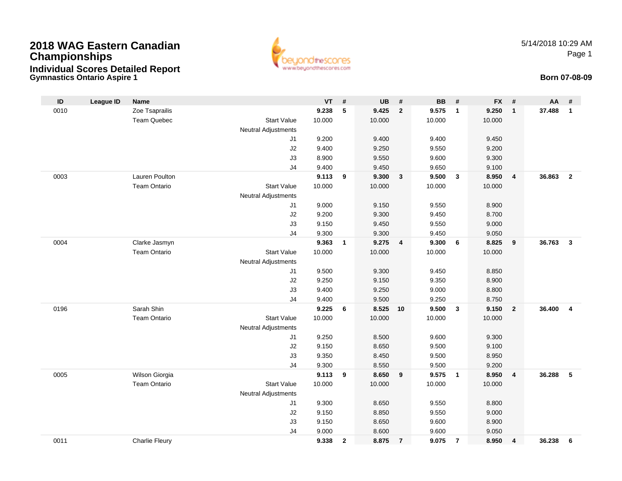## **Gymnastics Ontario Aspire 12018 WAG Eastern CanadianChampionshipsIndividual Scores Detailed Report**



5/14/2018 10:29 AMPage 1

## **Born 07-08-09**

| ID   | <b>League ID</b> | <b>Name</b>           |                                  | <b>VT</b>       | #            | <b>UB</b>       | $\#$           | <b>BB</b>       | #              | <b>FX</b> | #                       | AA     | #                       |
|------|------------------|-----------------------|----------------------------------|-----------------|--------------|-----------------|----------------|-----------------|----------------|-----------|-------------------------|--------|-------------------------|
| 0010 |                  | Zoe Tsaprailis        |                                  | 9.238           | 5            | 9.425           | $\overline{2}$ | 9.575           | $\overline{1}$ | 9.250     | $\mathbf{1}$            | 37.488 | $\mathbf{1}$            |
|      |                  | <b>Team Quebec</b>    | <b>Start Value</b>               | 10.000          |              | 10.000          |                | 10.000          |                | 10.000    |                         |        |                         |
|      |                  |                       | <b>Neutral Adjustments</b>       |                 |              |                 |                |                 |                |           |                         |        |                         |
|      |                  |                       | J1                               | 9.200           |              | 9.400           |                | 9.400           |                | 9.450     |                         |        |                         |
|      |                  |                       | J2                               | 9.400           |              | 9.250           |                | 9.550           |                | 9.200     |                         |        |                         |
|      |                  |                       | J3                               | 8.900           |              | 9.550           |                | 9.600           |                | 9.300     |                         |        |                         |
|      |                  |                       | J <sub>4</sub>                   | 9.400           |              | 9.450           |                | 9.650           |                | 9.100     |                         |        |                         |
| 0003 |                  | Lauren Poulton        |                                  | 9.113           | 9            | 9.300           | $\mathbf{3}$   | 9.500           | $\mathbf{3}$   | 8.950     | $\overline{4}$          | 36.863 | $\overline{2}$          |
|      |                  | <b>Team Ontario</b>   | <b>Start Value</b>               | 10.000          |              | 10.000          |                | 10.000          |                | 10.000    |                         |        |                         |
|      |                  |                       | <b>Neutral Adjustments</b>       |                 |              |                 |                |                 |                |           |                         |        |                         |
|      |                  |                       | J1                               | 9.000           |              | 9.150           |                | 9.550           |                | 8.900     |                         |        |                         |
|      |                  |                       | J2                               | 9.200           |              | 9.300           |                | 9.450           |                | 8.700     |                         |        |                         |
|      |                  |                       | J3                               | 9.150           |              | 9.450           |                | 9.550           |                | 9.000     |                         |        |                         |
|      |                  |                       | J <sub>4</sub>                   | 9.300           |              | 9.300           |                | 9.450           |                | 9.050     |                         |        |                         |
| 0004 |                  | Clarke Jasmyn         |                                  | 9.363           | $\mathbf{1}$ | 9.275           | 4              | 9.300           | 6              | 8.825     | 9                       | 36.763 | $\mathbf{3}$            |
|      |                  | <b>Team Ontario</b>   | <b>Start Value</b>               | 10.000          |              | 10.000          |                | 10.000          |                | 10.000    |                         |        |                         |
|      |                  |                       | <b>Neutral Adjustments</b>       |                 |              |                 |                |                 |                |           |                         |        |                         |
|      |                  |                       | J1                               | 9.500           |              | 9.300           |                | 9.450           |                | 8.850     |                         |        |                         |
|      |                  |                       | J2                               | 9.250           |              | 9.150           |                | 9.350           |                | 8.900     |                         |        |                         |
|      |                  |                       | J3                               | 9.400           |              | 9.250           |                | 9.000           |                | 8.800     |                         |        |                         |
|      |                  |                       | J <sub>4</sub>                   | 9.400           |              | 9.500           |                | 9.250           |                | 8.750     |                         |        |                         |
| 0196 |                  | Sarah Shin            |                                  | 9.225           | 6            | 8.525           | 10             | 9.500           | $\mathbf{3}$   | 9.150     | $\overline{\mathbf{2}}$ | 36.400 | $\overline{\mathbf{4}}$ |
|      |                  | <b>Team Ontario</b>   | <b>Start Value</b>               | 10.000          |              | 10.000          |                | 10.000          |                | 10.000    |                         |        |                         |
|      |                  |                       | <b>Neutral Adjustments</b>       |                 |              |                 |                |                 |                |           |                         |        |                         |
|      |                  |                       | J1                               | 9.250           |              | 8.500           |                | 9.600           |                | 9.300     |                         |        |                         |
|      |                  |                       | J2                               | 9.150           |              | 8.650           |                | 9.500           |                | 9.100     |                         |        |                         |
|      |                  |                       | J3                               | 9.350           |              | 8.450           |                | 9.500           |                | 8.950     |                         |        |                         |
|      |                  | Wilson Giorgia        | J <sub>4</sub>                   | 9.300           |              | 8.550           |                | 9.500           |                | 9.200     |                         |        | 5                       |
| 0005 |                  | <b>Team Ontario</b>   | <b>Start Value</b>               | 9.113<br>10.000 | 9            | 8.650<br>10.000 | 9              | 9.575<br>10.000 | $\overline{1}$ | 8.950     | $\overline{\mathbf{4}}$ | 36.288 |                         |
|      |                  |                       |                                  |                 |              |                 |                |                 |                | 10.000    |                         |        |                         |
|      |                  |                       | <b>Neutral Adjustments</b><br>J1 | 9.300           |              | 8.650           |                | 9.550           |                | 8.800     |                         |        |                         |
|      |                  |                       | J2                               | 9.150           |              | 8.850           |                | 9.550           |                | 9.000     |                         |        |                         |
|      |                  |                       | J3                               | 9.150           |              | 8.650           |                | 9.600           |                | 8.900     |                         |        |                         |
|      |                  |                       | J <sub>4</sub>                   | 9.000           |              | 8.600           |                | 9.600           |                | 9.050     |                         |        |                         |
| 0011 |                  | <b>Charlie Fleury</b> |                                  | 9.338           | $\mathbf{2}$ | 8.875           | $\overline{7}$ | 9.075           | $\overline{7}$ | 8.950     | 4                       | 36.238 | 6                       |
|      |                  |                       |                                  |                 |              |                 |                |                 |                |           |                         |        |                         |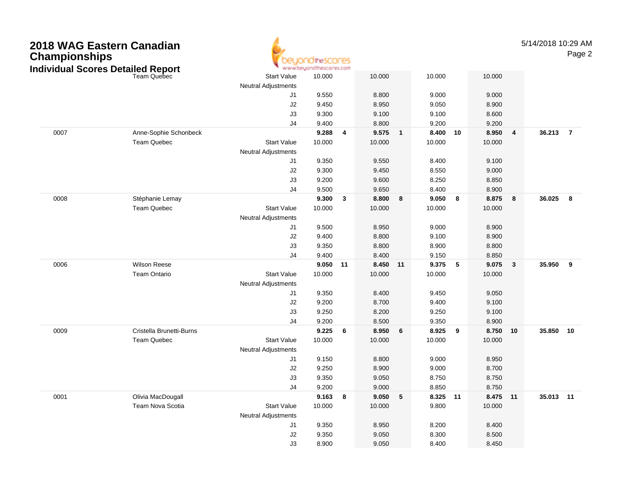| 2018 WAG Eastern Canadian<br><b>Championships</b><br><b>Individual Scores Detailed Report</b> |                          | OtheSCOCES<br>www.beyondthescores.com |                |              |                |              |                |    |                | 5/14/2018 10:29 AM<br>Page 2 |           |                |
|-----------------------------------------------------------------------------------------------|--------------------------|---------------------------------------|----------------|--------------|----------------|--------------|----------------|----|----------------|------------------------------|-----------|----------------|
|                                                                                               | <b>Team Quebec</b>       | <b>Start Value</b>                    | 10.000         |              | 10.000         |              | 10.000         |    | 10.000         |                              |           |                |
|                                                                                               |                          | <b>Neutral Adjustments</b>            |                |              |                |              |                |    |                |                              |           |                |
|                                                                                               |                          | J1                                    | 9.550          |              | 8.800          |              | 9.000          |    | 9.000          |                              |           |                |
|                                                                                               |                          | J <sub>2</sub><br>J3                  | 9.450<br>9.300 |              | 8.950<br>9.100 |              | 9.050<br>9.100 |    | 8.900<br>8.600 |                              |           |                |
|                                                                                               |                          | J <sub>4</sub>                        | 9.400          |              | 8.800          |              | 9.200          |    | 9.200          |                              |           |                |
| 0007                                                                                          | Anne-Sophie Schonbeck    |                                       | 9.288          | 4            | 9.575          | $\mathbf{1}$ | 8.400          | 10 | 8.950          | 4                            | 36.213    | $\overline{7}$ |
|                                                                                               | Team Quebec              | <b>Start Value</b>                    | 10.000         |              | 10.000         |              | 10.000         |    | 10.000         |                              |           |                |
|                                                                                               |                          | <b>Neutral Adjustments</b>            |                |              |                |              |                |    |                |                              |           |                |
|                                                                                               |                          | J1                                    | 9.350          |              | 9.550          |              | 8.400          |    | 9.100          |                              |           |                |
|                                                                                               |                          | J <sub>2</sub>                        | 9.300          |              | 9.450          |              | 8.550          |    | 9.000          |                              |           |                |
|                                                                                               |                          | J3                                    | 9.200          |              | 9.600          |              | 8.250          |    | 8.850          |                              |           |                |
|                                                                                               |                          | J <sub>4</sub>                        | 9.500          |              | 9.650          |              | 8.400          |    | 8.900          |                              |           |                |
| 0008                                                                                          | Stéphanie Lemay          |                                       | 9.300          | $\mathbf{3}$ | 8.800          | 8            | 9.050          | 8  | 8.875          | 8                            | 36.025    | 8              |
|                                                                                               | <b>Team Quebec</b>       | <b>Start Value</b>                    | 10.000         |              | 10.000         |              | 10.000         |    | 10.000         |                              |           |                |
|                                                                                               |                          | <b>Neutral Adjustments</b>            |                |              |                |              |                |    |                |                              |           |                |
|                                                                                               |                          | J1                                    | 9.500          |              | 8.950          |              | 9.000          |    | 8.900          |                              |           |                |
|                                                                                               |                          | J <sub>2</sub>                        | 9.400          |              | 8.800          |              | 9.100          |    | 8.900          |                              |           |                |
|                                                                                               |                          | J3                                    | 9.350          |              | 8.800          |              | 8.900          |    | 8.800          |                              |           |                |
|                                                                                               |                          | J <sub>4</sub>                        | 9.400          |              | 8.400          |              | 9.150          |    | 8.850          |                              |           |                |
| 0006                                                                                          | <b>Wilson Reese</b>      |                                       | 9.050 11       |              | 8.450          | 11           | 9.375          | 5  | 9.075          | 3                            | 35.950 9  |                |
|                                                                                               | Team Ontario             | <b>Start Value</b>                    | 10.000         |              | 10.000         |              | 10.000         |    | 10.000         |                              |           |                |
|                                                                                               |                          | <b>Neutral Adjustments</b>            |                |              |                |              |                |    |                |                              |           |                |
|                                                                                               |                          | J1                                    | 9.350          |              | 8.400          |              | 9.450          |    | 9.050          |                              |           |                |
|                                                                                               |                          | J <sub>2</sub><br>J3                  | 9.200<br>9.250 |              | 8.700<br>8.200 |              | 9.400<br>9.250 |    | 9.100<br>9.100 |                              |           |                |
|                                                                                               |                          | J <sub>4</sub>                        | 9.200          |              | 8.500          |              | 9.350          |    | 8.900          |                              |           |                |
| 0009                                                                                          | Cristella Brunetti-Burns |                                       | 9.225          | 6            | 8.950          | 6            | 8.925          | 9  | 8.750          | 10                           | 35.850 10 |                |
|                                                                                               | Team Quebec              | <b>Start Value</b>                    | 10.000         |              | 10.000         |              | 10.000         |    | 10.000         |                              |           |                |
|                                                                                               |                          | <b>Neutral Adjustments</b>            |                |              |                |              |                |    |                |                              |           |                |
|                                                                                               |                          | J1                                    | 9.150          |              | 8.800          |              | 9.000          |    | 8.950          |                              |           |                |
|                                                                                               |                          | J <sub>2</sub>                        | 9.250          |              | 8.900          |              | 9.000          |    | 8.700          |                              |           |                |
|                                                                                               |                          | J3                                    | 9.350          |              | 9.050          |              | 8.750          |    | 8.750          |                              |           |                |
|                                                                                               |                          | J <sub>4</sub>                        | 9.200          |              | 9.000          |              | 8.850          |    | 8.750          |                              |           |                |
| 0001                                                                                          | Olivia MacDougall        |                                       | 9.163 8        |              | 9.050          | 5            | 8.325 11       |    | 8.475 11       |                              | 35.013 11 |                |
|                                                                                               | Team Nova Scotia         | <b>Start Value</b>                    | 10.000         |              | 10.000         |              | 9.800          |    | 10.000         |                              |           |                |
|                                                                                               |                          | Neutral Adjustments                   |                |              |                |              |                |    |                |                              |           |                |
|                                                                                               |                          | J1                                    | 9.350          |              | 8.950          |              | 8.200          |    | 8.400          |                              |           |                |
|                                                                                               |                          | $\sf J2$                              | 9.350          |              | 9.050          |              | 8.300          |    | 8.500          |                              |           |                |
|                                                                                               |                          | J3                                    | 8.900          |              | 9.050          |              | 8.400          |    | 8.450          |                              |           |                |